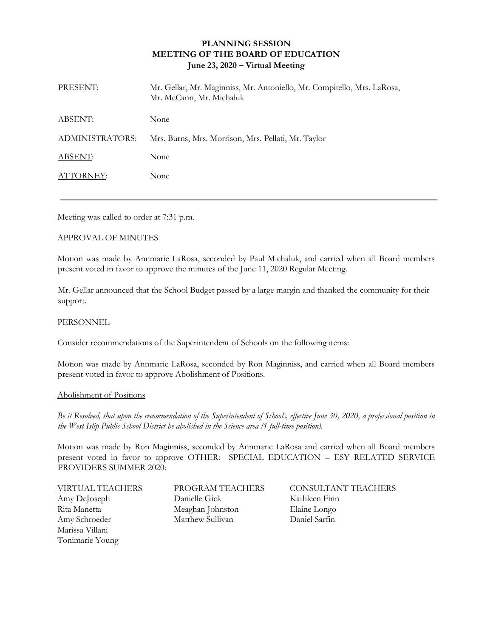# **PLANNING SESSION MEETING OF THE BOARD OF EDUCATION June 23, 2020 – Virtual Meeting**

| PRESENT:        | Mr. Gellar, Mr. Maginniss, Mr. Antoniello, Mr. Compitello, Mrs. LaRosa,<br>Mr. McCann, Mr. Michaluk |
|-----------------|-----------------------------------------------------------------------------------------------------|
| ABSENT:         | None                                                                                                |
| ADMINISTRATORS: | Mrs. Burns, Mrs. Morrison, Mrs. Pellati, Mr. Taylor                                                 |
| ABSENT:         | None                                                                                                |
| ATTORNEY:       | None                                                                                                |

Meeting was called to order at 7:31 p.m.

### APPROVAL OF MINUTES

Motion was made by Annmarie LaRosa, seconded by Paul Michaluk, and carried when all Board members present voted in favor to approve the minutes of the June 11, 2020 Regular Meeting.

Mr. Gellar announced that the School Budget passed by a large margin and thanked the community for their support.

### PERSONNEL

Consider recommendations of the Superintendent of Schools on the following items:

Motion was made by Annmarie LaRosa, seconded by Ron Maginniss, and carried when all Board members present voted in favor to approve Abolishment of Positions.

### Abolishment of Positions

*Be it Resolved, that upon the recommendation of the Superintendent of Schools, effective June 30, 2020, a professional position in the West Islip Public School District be abolished in the Science area (1 full-time position).*

Motion was made by Ron Maginniss, seconded by Annmarie LaRosa and carried when all Board members present voted in favor to approve OTHER:SPECIAL EDUCATION – ESY RELATED SERVICE PROVIDERS SUMMER 2020:

Marissa Villani Tonimarie Young

Amy DeJoseph Danielle Gick Kathleen Finn Rita Manetta **Meaghan Johnston** Elaine Longo Amy Schroeder Matthew Sullivan Daniel Sarfin

VIRTUAL TEACHERS PROGRAM TEACHERS CONSULTANT TEACHERS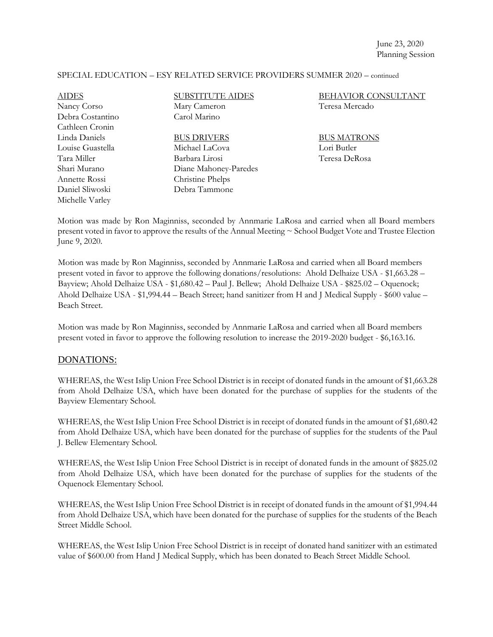## SPECIAL EDUCATION – ESY RELATED SERVICE PROVIDERS SUMMER 2020 – continued

| <b>AIDES</b>     | <b>SUBSTITUTE AIDES</b> | <b>BEHAVIOR CONSULTANT</b> |
|------------------|-------------------------|----------------------------|
| Nancy Corso      | Mary Cameron            | Teresa Mercado             |
| Debra Costantino | Carol Marino            |                            |
| Cathleen Cronin  |                         |                            |
| Linda Daniels    | <b>BUS DRIVERS</b>      | <b>BUS MATRONS</b>         |
| Louise Guastella | Michael LaCova          | Lori Butler                |
| Tara Miller      | Barbara Lirosi          | Teresa DeRosa              |
| Shari Murano     | Diane Mahoney-Paredes   |                            |
| Annette Rossi    | Christine Phelps        |                            |
| Daniel Sliwoski  | Debra Tammone           |                            |
| Michelle Varley  |                         |                            |

Motion was made by Ron Maginniss, seconded by Annmarie LaRosa and carried when all Board members present voted in favor to approve the results of the Annual Meeting ~ School Budget Vote and Trustee Election June 9, 2020.

Motion was made by Ron Maginniss, seconded by Annmarie LaRosa and carried when all Board members present voted in favor to approve the following donations/resolutions: Ahold Delhaize USA - \$1,663.28 – Bayview; Ahold Delhaize USA - \$1,680.42 – Paul J. Bellew; Ahold Delhaize USA - \$825.02 – Oquenock; Ahold Delhaize USA - \$1,994.44 – Beach Street; hand sanitizer from H and J Medical Supply - \$600 value – Beach Street.

Motion was made by Ron Maginniss, seconded by Annmarie LaRosa and carried when all Board members present voted in favor to approve the following resolution to increase the 2019-2020 budget - \$6,163.16.

## DONATIONS:

WHEREAS, the West Islip Union Free School District is in receipt of donated funds in the amount of \$1,663.28 from Ahold Delhaize USA, which have been donated for the purchase of supplies for the students of the Bayview Elementary School.

WHEREAS, the West Islip Union Free School District is in receipt of donated funds in the amount of \$1,680.42 from Ahold Delhaize USA, which have been donated for the purchase of supplies for the students of the Paul J. Bellew Elementary School.

WHEREAS, the West Islip Union Free School District is in receipt of donated funds in the amount of \$825.02 from Ahold Delhaize USA, which have been donated for the purchase of supplies for the students of the Oquenock Elementary School.

WHEREAS, the West Islip Union Free School District is in receipt of donated funds in the amount of \$1,994.44 from Ahold Delhaize USA, which have been donated for the purchase of supplies for the students of the Beach Street Middle School.

WHEREAS, the West Islip Union Free School District is in receipt of donated hand sanitizer with an estimated value of \$600.00 from Hand J Medical Supply, which has been donated to Beach Street Middle School.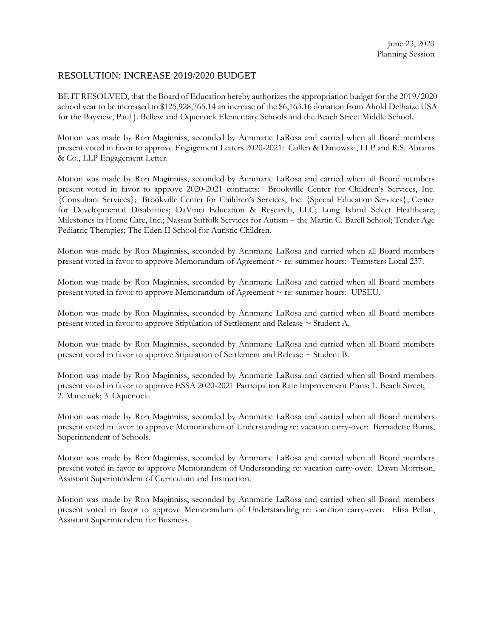# RESOLUTION: INCREASE 2019/2020 BUDGET

BE IT RESOLVED, that the Board of Education hereby authorizes the appropriation budget for the 2019/2020 school year to be increased to \$125,928,765.14 an increase of the \$6,163.16 donation from Ahold Delhaize USA for the Bayview, Paul J. Bellew and Oquenock Elementary Schools and the Beach Street Middle School.

Motion was made by Ron Maginniss, seconded by Annmarie LaRosa and carried when all Board members present voted in favor to approve Engagement Letters 2020-2021: Cullen & Danowski, LLP and R.S. Abrams & Co., LLP Engagement Letter.

Motion was made by Ron Maginniss, seconded by Annmarie LaRosa and carried when all Board members present voted in favor to approve 2020-2021 contracts: Brookville Center for Children's Services, Inc. {Consultant Services}; Brookville Center for Children's Services, Inc. {Special Education Services}; Center for Developmental Disabilities; DaVinci Education & Research, LLC; Long Island Select Healthcare; Milestones in Home Care, Inc.; Nassau Suffolk Services for Autism – the Martin C. Barell School; Tender Age Pediatric Therapies; The Eden II School for Autistic Children.

Motion was made by Ron Maginniss, seconded by Annmarie LaRosa and carried when all Board members present voted in favor to approve Memorandum of Agreement ~ re: summer hours: Teamsters Local 237.

Motion was made by Ron Maginniss, seconded by Annmarie LaRosa and carried when all Board members present voted in favor to approve Memorandum of Agreement ~ re: summer hours: UPSEU.

Motion was made by Ron Maginniss, seconded by Annmarie LaRosa and carried when all Board members present voted in favor to approve Stipulation of Settlement and Release ~ Student A.

Motion was made by Ron Maginniss, seconded by Annmarie LaRosa and carried when all Board members present voted in favor to approve Stipulation of Settlement and Release ~ Student B.

Motion was made by Ron Maginniss, seconded by Annmarie LaRosa and carried when all Board members present voted in favor to approve ESSA 2020-2021 Participation Rate Improvement Plans: 1. Beach Street; 2. Manetuck; 3. Oquenock.

Motion was made by Ron Maginniss, seconded by Annmarie LaRosa and carried when all Board members present voted in favor to approve Memorandum of Understanding re: vacation carry-over: Bernadette Burns, Superintendent of Schools.

Motion was made by Ron Maginniss, seconded by Annmarie LaRosa and carried when all Board members present voted in favor to approve Memorandum of Understanding re: vacation carry-over: Dawn Morrison, Assistant Superintendent of Curriculum and Instruction.

Motion was made by Ron Maginniss, seconded by Annmarie LaRosa and carried when all Board members present voted in favor to approve Memorandum of Understanding re: vacation carry-over: Elisa Pellati, Assistant Superintendent for Business.